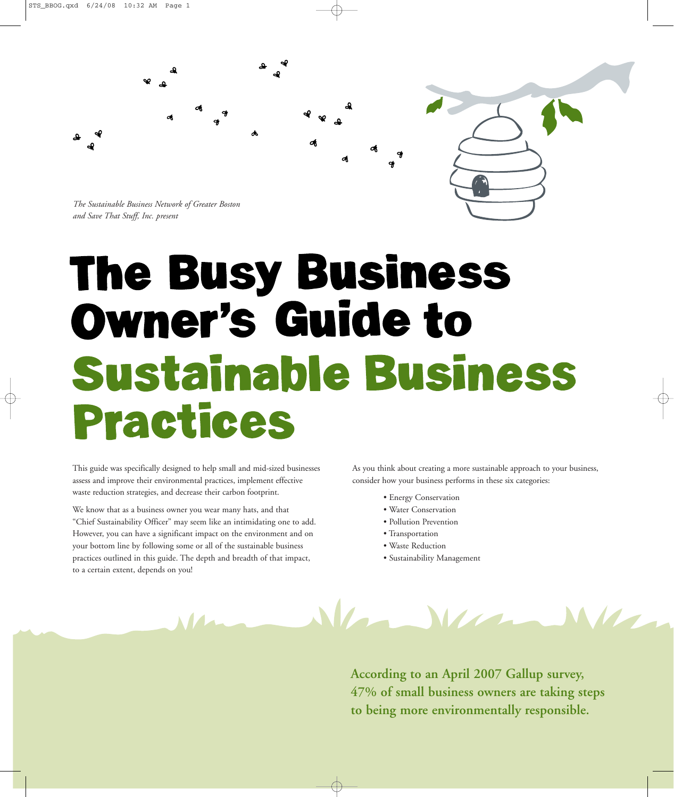

*The Sustainable Business Network of Greater Boston and Save That Stuff, Inc. present*

## **The Busy Business Owner's Guide to** Sustainable Business **Practices**

This guide was specifically designed to help small and mid-sized businesses assess and improve their environmental practices, implement effective waste reduction strategies, and decrease their carbon footprint.

We know that as a business owner you wear many hats, and that "Chief Sustainability Officer" may seem like an intimidating one to add. However, you can have a significant impact on the environment and on your bottom line by following some or all of the sustainable business practices outlined in this guide. The depth and breadth of that impact, to a certain extent, depends on you!

As you think about creating a more sustainable approach to your business, consider how your business performs in these six categories:

- Energy Conservation
- Water Conservation
- Pollution Prevention
- Transportation
- Waste Reduction
- Sustainability Management



**According to an April 2007 Gallup survey, 47% of small business owners are taking steps to being more environmentally responsible.**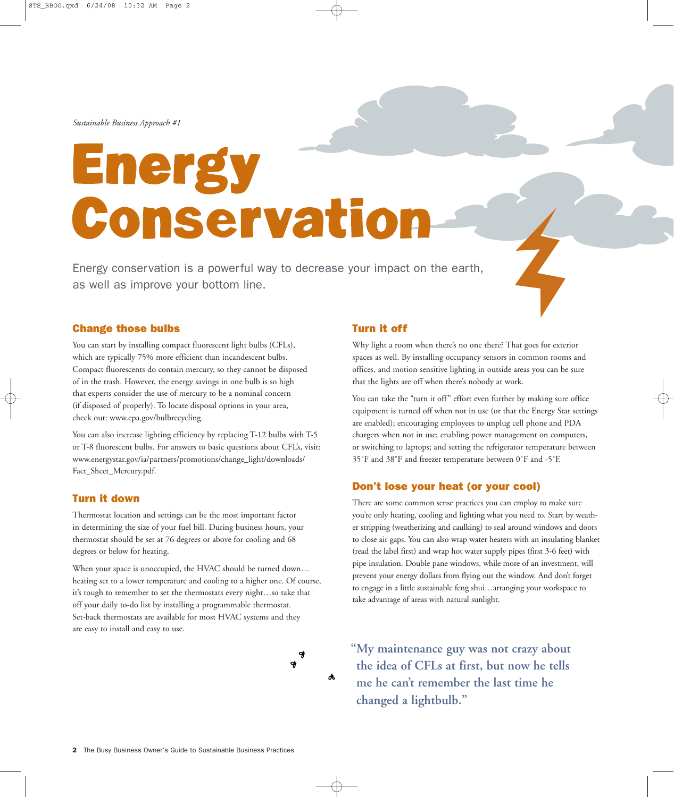## Energy Conservatio

Energy conservation is a powerful way to decrease your impact on the earth, as well as improve your bottom line.

### **Change those bulbs**

You can start by installing compact fluorescent light bulbs (CFLs), which are typically 75% more efficient than incandescent bulbs. Compact fluorescents do contain mercury, so they cannot be disposed of in the trash. However, the energy savings in one bulb is so high that experts consider the use of mercury to be a nominal concern (if disposed of properly). To locate disposal options in your area, check out: www.epa.gov/bulbrecycling.

You can also increase lighting efficiency by replacing T-12 bulbs with T-5 or T-8 fluorescent bulbs. For answers to basic questions about CFL's, visit: www.energystar.gov/ia/partners/promotions/change\_light/downloads/ Fact\_Sheet\_Mercury.pdf.

### **Turn it down**

Thermostat location and settings can be the most important factor in determining the size of your fuel bill. During business hours, your thermostat should be set at 76 degrees or above for cooling and 68 degrees or below for heating.

When your space is unoccupied, the HVAC should be turned down... heating set to a lower temperature and cooling to a higher one. Of course, it's tough to remember to set the thermostats every night…so take that off your daily to-do list by installing a programmable thermostat. Set-back thermostats are available for most HVAC systems and they are easy to install and easy to use.



### **Turn it off**

Why light a room when there's no one there? That goes for exterior spaces as well. By installing occupancy sensors in common rooms and offices, and motion sensitive lighting in outside areas you can be sure that the lights are off when there's nobody at work.

You can take the "turn it off" effort even further by making sure office equipment is turned off when not in use (or that the Energy Star settings are enabled); encouraging employees to unplug cell phone and PDA chargers when not in use; enabling power management on computers, or switching to laptops; and setting the refrigerator temperature between 35˚F and 38˚F and freezer temperature between 0˚F and -5˚F.

### **Don't lose your heat (or your cool)**

There are some common sense practices you can employ to make sure you're only heating, cooling and lighting what you need to. Start by weather stripping (weatherizing and caulking) to seal around windows and doors to close air gaps. You can also wrap water heaters with an insulating blanket (read the label first) and wrap hot water supply pipes (first 3-6 feet) with pipe insulation. Double pane windows, while more of an investment, will prevent your energy dollars from flying out the window. And don't forget to engage in a little sustainable feng shui…arranging your workspace to take advantage of areas with natural sunlight.

**"My maintenance guy was not crazy about the idea of CFLs at first, but now he tells me he can't remember the last time he changed a lightbulb."**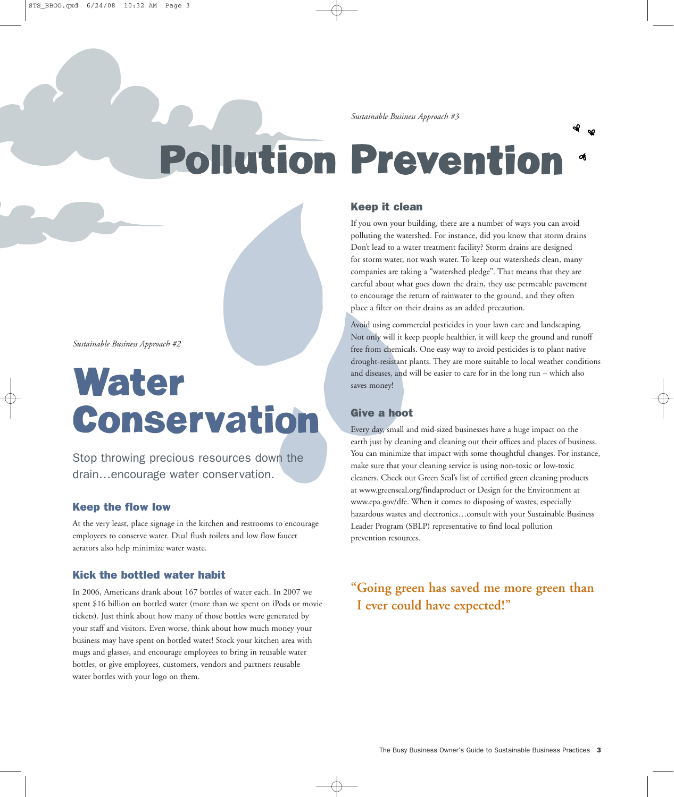### **Pollution Prevention**

### **Keep it clean**

If you own your building, there are a number of ways you can avoid polluting the watershed. For instance, did you know that storm drains Don't lead to a water treatment facility? Storm drains are designed for storm water, not wash water. To keep our watersheds clean, many companies are taking a "watershed pledge". That means that they are careful about what goes down the drain, they use permeable pavement to encourage the return of rainwater to the ground, and they often place a filter on their drains as an added precaution.

Avoid using commercial pesticides in your lawn care and landscaping. Not only will it keep people healthier, it will keep the ground and runoff free from chemicals. One easy way to avoid pesticides is to plant native drought-resistant plants. They are more suitable to local weather conditions and diseases, and will be easier to care for in the long run – which also saves money!

### **Give a hoot**

Every day, small and mid-sized businesses have a huge impact on the earth just by cleaning and cleaning out their offices and places of business. You can minimize that impact with some thoughtful changes. For instance, make sure that your cleaning service is using non-toxic or low-toxic cleaners. Check out Green Seal's list of certified green cleaning products at www.greenseal.org/findaproduct or Design for the Environment at www.epa.gov/dfe. When it comes to disposing of wastes, especially hazardous wastes and electronics…consult with your Sustainable Business Leader Program (SBLP) representative to find local pollution prevention resources.

### **"Going green has saved me more green than I ever could have expected!"**

*Sustainable Business Approach #2*

### Water Conservation

Stop throwing precious resources down the drain…encourage water conservation.

### **Keep the flow low**

At the very least, place signage in the kitchen and restrooms to encourage employees to conserve water. Dual flush toilets and low flow faucet aerators also help minimize water waste.

### **Kick the bottled water habit**

In 2006, Americans drank about 167 bottles of water each. In 2007 we spent \$16 billion on bottled water (more than we spent on iPods or movie tickets). Just think about how many of those bottles were generated by your staff and visitors. Even worse, think about how much money your business may have spent on bottled water! Stock your kitchen area with mugs and glasses, and encourage employees to bring in reusable water bottles, or give employees, customers, vendors and partners reusable water bottles with your logo on them.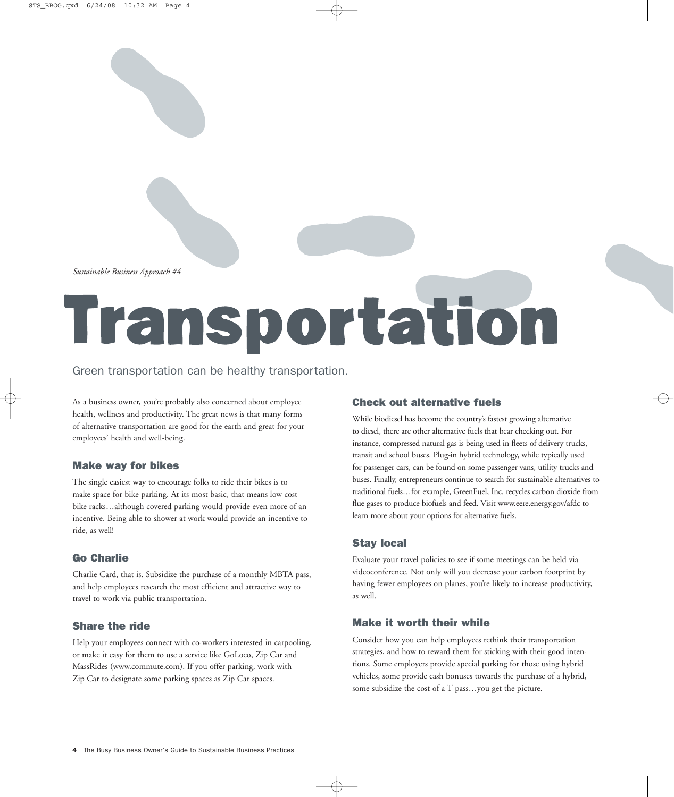# **Transportation**

### Green transportation can be healthy transportation.

As a business owner, you're probably also concerned about employee health, wellness and productivity. The great news is that many forms of alternative transportation are good for the earth and great for your employees' health and well-being.

### **Make way for bikes**

The single easiest way to encourage folks to ride their bikes is to make space for bike parking. At its most basic, that means low cost bike racks…although covered parking would provide even more of an incentive. Being able to shower at work would provide an incentive to ride, as well!

### **Go Charlie**

Charlie Card, that is. Subsidize the purchase of a monthly MBTA pass, and help employees research the most efficient and attractive way to travel to work via public transportation.

### **Share the ride**

Help your employees connect with co-workers interested in carpooling, or make it easy for them to use a service like GoLoco, Zip Car and MassRides (www.commute.com). If you offer parking, work with Zip Car to designate some parking spaces as Zip Car spaces.

### **Check out alternative fuels**

While biodiesel has become the country's fastest growing alternative to diesel, there are other alternative fuels that bear checking out. For instance, compressed natural gas is being used in fleets of delivery trucks, transit and school buses. Plug-in hybrid technology, while typically used for passenger cars, can be found on some passenger vans, utility trucks and buses. Finally, entrepreneurs continue to search for sustainable alternatives to traditional fuels…for example, GreenFuel, Inc. recycles carbon dioxide from flue gases to produce biofuels and feed. Visit www.eere.energy.gov/afdc to learn more about your options for alternative fuels.

### **Stay local**

Evaluate your travel policies to see if some meetings can be held via videoconference. Not only will you decrease your carbon footprint by having fewer employees on planes, you're likely to increase productivity, as well.

### **Make it worth their while**

Consider how you can help employees rethink their transportation strategies, and how to reward them for sticking with their good intentions. Some employers provide special parking for those using hybrid vehicles, some provide cash bonuses towards the purchase of a hybrid, some subsidize the cost of a T pass…you get the picture.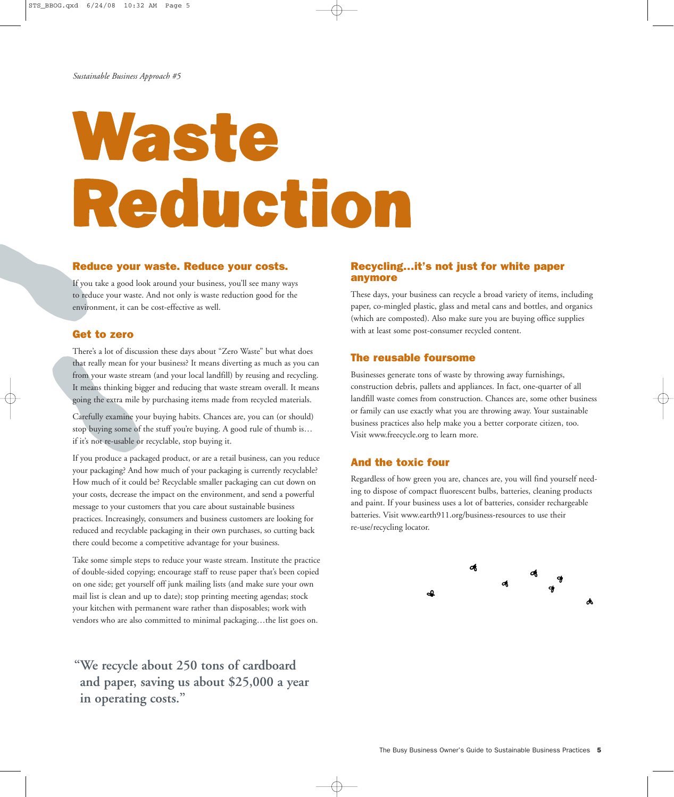## Waste Reduction

### **Reduce your waste. Reduce your costs.**

If you take a good look around your business, you'll see many ways to reduce your waste. And not only is waste reduction good for the environment, it can be cost-effective as well.

### **Get to zero**

There's a lot of discussion these days about "Zero Waste" but what does that really mean for your business? It means diverting as much as you can from your waste stream (and your local landfill) by reusing and recycling. It means thinking bigger and reducing that waste stream overall. It means going the extra mile by purchasing items made from recycled materials.

Carefully examine your buying habits. Chances are, you can (or should) stop buying some of the stuff you're buying. A good rule of thumb is… if it's not re-usable or recyclable, stop buying it.

If you produce a packaged product, or are a retail business, can you reduce your packaging? And how much of your packaging is currently recyclable? How much of it could be? Recyclable smaller packaging can cut down on your costs, decrease the impact on the environment, and send a powerful message to your customers that you care about sustainable business practices. Increasingly, consumers and business customers are looking for reduced and recyclable packaging in their own purchases, so cutting back there could become a competitive advantage for your business.

Take some simple steps to reduce your waste stream. Institute the practice of double-sided copying; encourage staff to reuse paper that's been copied on one side; get yourself off junk mailing lists (and make sure your own mail list is clean and up to date); stop printing meeting agendas; stock your kitchen with permanent ware rather than disposables; work with vendors who are also committed to minimal packaging…the list goes on.

**"We recycle about 250 tons of cardboard and paper, saving us about \$25,000 a year in operating costs."**

### **Recycling…it's not just for white paper anymore**

These days, your business can recycle a broad variety of items, including paper, co-mingled plastic, glass and metal cans and bottles, and organics (which are composted). Also make sure you are buying office supplies with at least some post-consumer recycled content.

### **The reusable foursome**

Businesses generate tons of waste by throwing away furnishings, construction debris, pallets and appliances. In fact, one-quarter of all landfill waste comes from construction. Chances are, some other business or family can use exactly what you are throwing away. Your sustainable business practices also help make you a better corporate citizen, too. Visit www.freecycle.org to learn more.

### **And the toxic four**

Regardless of how green you are, chances are, you will find yourself needing to dispose of compact fluorescent bulbs, batteries, cleaning products and paint. If your business uses a lot of batteries, consider rechargeable batteries. Visit www.earth911.org/business-resources to use their re-use/recycling locator.

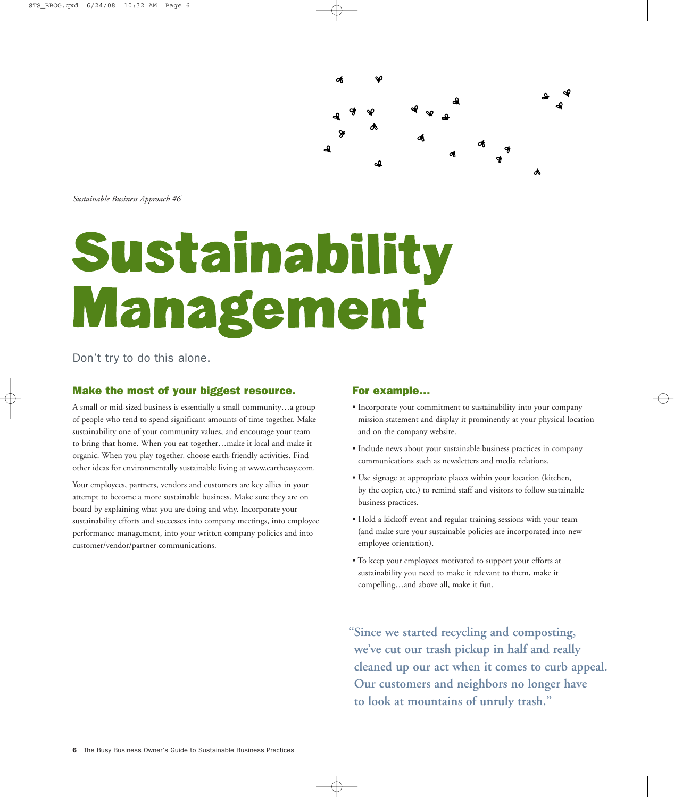

## Sustainability Management

Don't try to do this alone.

### **Make the most of your biggest resource.**

A small or mid-sized business is essentially a small community…a group of people who tend to spend significant amounts of time together. Make sustainability one of your community values, and encourage your team to bring that home. When you eat together…make it local and make it organic. When you play together, choose earth-friendly activities. Find other ideas for environmentally sustainable living at www.eartheasy.com.

Your employees, partners, vendors and customers are key allies in your attempt to become a more sustainable business. Make sure they are on board by explaining what you are doing and why. Incorporate your sustainability efforts and successes into company meetings, into employee performance management, into your written company policies and into customer/vendor/partner communications.

### **For example…**

- Incorporate your commitment to sustainability into your company mission statement and display it prominently at your physical location and on the company website.
- Include news about your sustainable business practices in company communications such as newsletters and media relations.
- Use signage at appropriate places within your location (kitchen, by the copier, etc.) to remind staff and visitors to follow sustainable business practices.
- Hold a kickoff event and regular training sessions with your team (and make sure your sustainable policies are incorporated into new employee orientation).
- To keep your employees motivated to support your efforts at sustainability you need to make it relevant to them, make it compelling…and above all, make it fun.

**"Since we started recycling and composting, we've cut our trash pickup in half and really cleaned up our act when it comes to curb appeal. Our customers and neighbors no longer have to look at mountains of unruly trash."**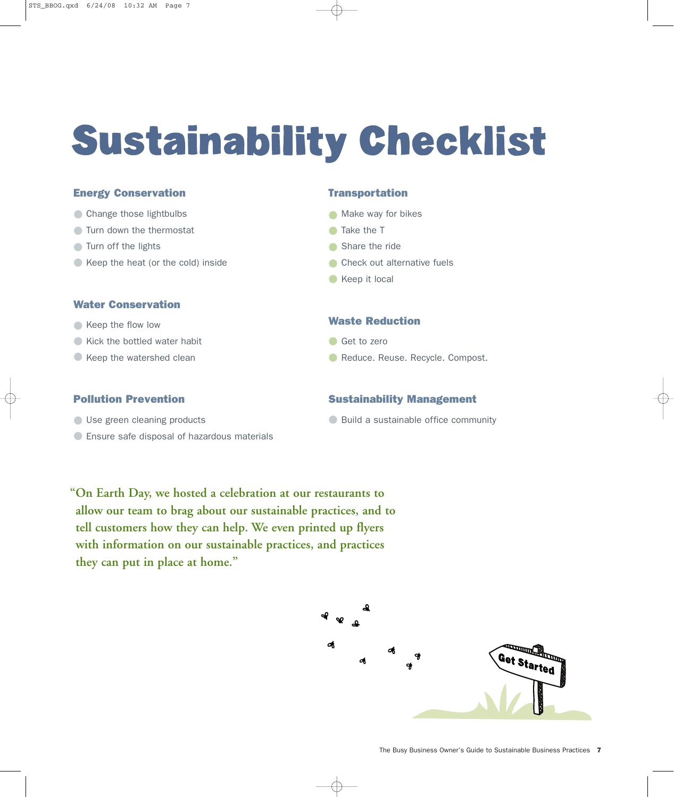### **Sustainability Checklist**

### **Energy Conservation**

- Change those lightbulbs
- **Turn down the thermostat**
- **Turn off the lights**
- Keep the heat (or the cold) inside

### **Water Conservation**

- Keep the flow low
- Kick the bottled water habit
- Keep the watershed clean

### **Transportation**

- **Make way for bikes**
- Take the T
- Share the ride
- **Check out alternative fuels**
- Keep it local

### **Waste Reduction**

- Get to zero
- **C** Reduce. Reuse. Recycle. Compost.

**Sustainability Management**

**Build a sustainable office community** 

### **Pollution Prevention**

- Use green cleaning products
- Ensure safe disposal of hazardous materials

### **"On Earth Day, we hosted a celebration at our restaurants to allow our team to brag about our sustainable practices, and to tell customers how they can help. We even printed up flyers**

**with information on our sustainable practices, and practices they can put in place at home."**